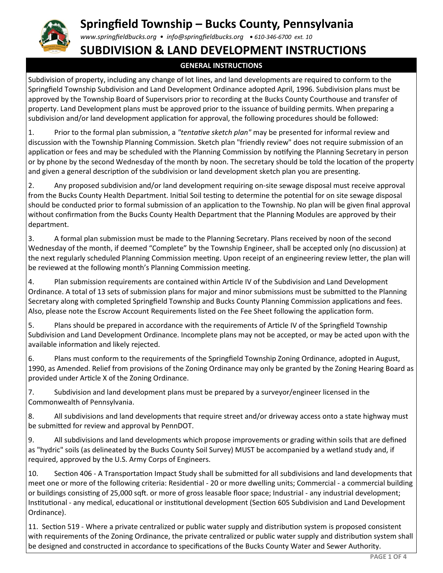# **Springfield Township – Bucks County, Pennsylvania**

*www.springfieldbucks.org • info@springfieldbucks.org • <sup>610</sup>-346-6700 ext. 10* 

### **SUBDIVISION & LAND DEVELOPMENT INSTRUCTIONS**

### **GENERAL INSTRUCTIONS**

Subdivision of property, including any change of lot lines, and land developments are required to conform to the Springfield Township Subdivision and Land Development Ordinance adopted April, 1996. Subdivision plans must be approved by the Township Board of Supervisors prior to recording at the Bucks County Courthouse and transfer of property. Land Development plans must be approved prior to the issuance of building permits. When preparing a subdivision and/or land development application for approval, the following procedures should be followed:

1. Prior to the formal plan submission, a *"tentative sketch plan"* may be presented for informal review and discussion with the Township Planning Commission. Sketch plan "friendly review" does not require submission of an application or fees and may be scheduled with the Planning Commission by notifying the Planning Secretary in person or by phone by the second Wednesday of the month by noon. The secretary should be told the location of the property and given a general description of the subdivision or land development sketch plan you are presenting.

2. Any proposed subdivision and/or land development requiring on-site sewage disposal must receive approval from the Bucks County Health Department. Initial Soil testing to determine the potential for on site sewage disposal should be conducted prior to formal submission of an application to the Township. No plan will be given final approval without confirmation from the Bucks County Health Department that the Planning Modules are approved by their department.

3. A formal plan submission must be made to the Planning Secretary. Plans received by noon of the second Wednesday of the month, if deemed "Complete" by the Township Engineer, shall be accepted only (no discussion) at the next regularly scheduled Planning Commission meeting. Upon receipt of an engineering review letter, the plan will be reviewed at the following month's Planning Commission meeting.

4. Plan submission requirements are contained within Article IV of the Subdivision and Land Development Ordinance. A total of 13 sets of submission plans for major and minor submissions must be submitted to the Planning Secretary along with completed Springfield Township and Bucks County Planning Commission applications and fees. Also, please note the Escrow Account Requirements listed on the Fee Sheet following the application form.

5. Plans should be prepared in accordance with the requirements of Article IV of the Springfield Township Subdivision and Land Development Ordinance. Incomplete plans may not be accepted, or may be acted upon with the available information and likely rejected.

6. Plans must conform to the requirements of the Springfield Township Zoning Ordinance, adopted in August, 1990, as Amended. Relief from provisions of the Zoning Ordinance may only be granted by the Zoning Hearing Board as provided under Article X of the Zoning Ordinance.

7. Subdivision and land development plans must be prepared by a surveyor/engineer licensed in the Commonwealth of Pennsylvania.

8. All subdivisions and land developments that require street and/or driveway access onto a state highway must be submitted for review and approval by PennDOT.

9. All subdivisions and land developments which propose improvements or grading within soils that are defined as "hydric" soils (as delineated by the Bucks County Soil Survey) MUST be accompanied by a wetland study and, if required, approved by the U.S. Army Corps of Engineers.

10. Section 406 - A Transportation Impact Study shall be submitted for all subdivisions and land developments that meet one or more of the following criteria: Residential - 20 or more dwelling units; Commercial - a commercial building or buildings consisting of 25,000 sqft. or more of gross leasable floor space; Industrial - any industrial development; Institutional - any medical, educational or institutional development (Section 605 Subdivision and Land Development Ordinance).

11. Section 519 - Where a private centralized or public water supply and distribution system is proposed consistent with requirements of the Zoning Ordinance, the private centralized or public water supply and distribution system shall be designed and constructed in accordance to specifications of the Bucks County Water and Sewer Authority.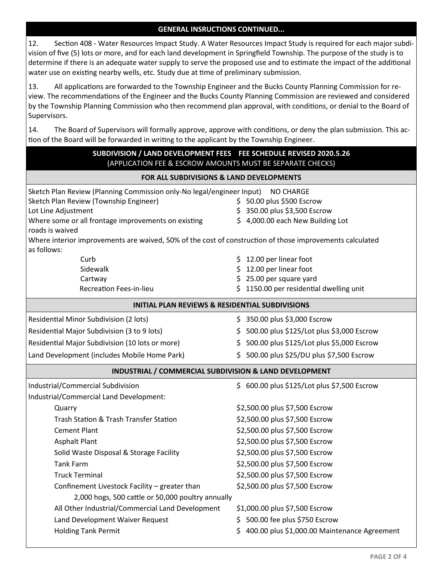#### **GENERAL INSRUCTIONS CONTINUED...**

12. Section 408 - Water Resources Impact Study. A Water Resources Impact Study is required for each major subdivision of five (5) lots or more, and for each land development in Springfield Township. The purpose of the study is to determine if there is an adequate water supply to serve the proposed use and to estimate the impact of the additional water use on existing nearby wells, etc. Study due at time of preliminary submission.

13. All applications are forwarded to the Township Engineer and the Bucks County Planning Commission for review. The recommendations of the Engineer and the Bucks County Planning Commission are reviewed and considered by the Township Planning Commission who then recommend plan approval, with conditions, or denial to the Board of Supervisors.

14. The Board of Supervisors will formally approve, approve with conditions, or deny the plan submission. This action of the Board will be forwarded in writing to the applicant by the Township Engineer.

| SUBDIVISION / LAND DEVELOPMENT FEES FEE SCHEDULE REVISED 2020.5.26<br>(APPLICATION FEE & ESCROW AMOUNTS MUST BE SEPARATE CHECKS)                                                                                                                                                                                                                                                                                   |                                                                                                                                                                                                                                                                                                                                                                                                        |  |  |  |  |
|--------------------------------------------------------------------------------------------------------------------------------------------------------------------------------------------------------------------------------------------------------------------------------------------------------------------------------------------------------------------------------------------------------------------|--------------------------------------------------------------------------------------------------------------------------------------------------------------------------------------------------------------------------------------------------------------------------------------------------------------------------------------------------------------------------------------------------------|--|--|--|--|
| FOR ALL SUBDIVISIONS & LAND DEVELOPMENTS                                                                                                                                                                                                                                                                                                                                                                           |                                                                                                                                                                                                                                                                                                                                                                                                        |  |  |  |  |
| Sketch Plan Review (Planning Commission only-No legal/engineer Input)<br>Sketch Plan Review (Township Engineer)<br>Lot Line Adjustment<br>Where some or all frontage improvements on existing<br>roads is waived                                                                                                                                                                                                   | <b>NO CHARGE</b><br>\$50.00 plus \$500 Escrow<br>\$350.00 plus \$3,500 Escrow<br>\$ 4,000.00 each New Building Lot                                                                                                                                                                                                                                                                                     |  |  |  |  |
| Where interior improvements are waived, 50% of the cost of construction of those improvements calculated<br>as follows:                                                                                                                                                                                                                                                                                            |                                                                                                                                                                                                                                                                                                                                                                                                        |  |  |  |  |
| Curb<br>Sidewalk<br>Cartway<br><b>Recreation Fees-in-lieu</b>                                                                                                                                                                                                                                                                                                                                                      | 12.00 per linear foot<br>12.00 per linear foot<br>\$25.00 per square yard<br>1150.00 per residential dwelling unit<br>Ś.                                                                                                                                                                                                                                                                               |  |  |  |  |
| <b>INITIAL PLAN REVIEWS &amp; RESIDENTIAL SUBDIVISIONS</b>                                                                                                                                                                                                                                                                                                                                                         |                                                                                                                                                                                                                                                                                                                                                                                                        |  |  |  |  |
| Residential Minor Subdivision (2 lots)<br>Residential Major Subdivision (3 to 9 lots)<br>Residential Major Subdivision (10 lots or more)<br>Land Development (includes Mobile Home Park)                                                                                                                                                                                                                           | \$350.00 plus \$3,000 Escrow<br>\$500.00 plus \$125/Lot plus \$3,000 Escrow<br>\$5,000 Escrow \$125/Lot plus \$5,000 Escrow<br>\$500.00 plus \$25/DU plus \$7,500 Escrow                                                                                                                                                                                                                               |  |  |  |  |
| INDUSTRIAL / COMMERCIAL SUBDIVISION & LAND DEVELOPMENT                                                                                                                                                                                                                                                                                                                                                             |                                                                                                                                                                                                                                                                                                                                                                                                        |  |  |  |  |
| Industrial/Commercial Subdivision<br>Industrial/Commercial Land Development:                                                                                                                                                                                                                                                                                                                                       | \$ 600.00 plus \$125/Lot plus \$7,500 Escrow                                                                                                                                                                                                                                                                                                                                                           |  |  |  |  |
| Quarry<br>Trash Station & Trash Transfer Station<br><b>Cement Plant</b><br><b>Asphalt Plant</b><br>Solid Waste Disposal & Storage Facility<br><b>Tank Farm</b><br><b>Truck Terminal</b><br>Confinement Livestock Facility - greater than<br>2,000 hogs, 500 cattle or 50,000 poultry annually<br>All Other Industrial/Commercial Land Development<br>Land Development Waiver Request<br><b>Holding Tank Permit</b> | \$2,500.00 plus \$7,500 Escrow<br>\$2,500.00 plus \$7,500 Escrow<br>\$2,500.00 plus \$7,500 Escrow<br>\$2,500.00 plus \$7,500 Escrow<br>\$2,500.00 plus \$7,500 Escrow<br>\$2,500.00 plus \$7,500 Escrow<br>\$2,500.00 plus \$7,500 Escrow<br>\$2,500.00 plus \$7,500 Escrow<br>\$1,000.00 plus \$7,500 Escrow<br>\$500.00 fee plus \$750 Escrow<br>400.00 plus \$1,000.00 Maintenance Agreement<br>S. |  |  |  |  |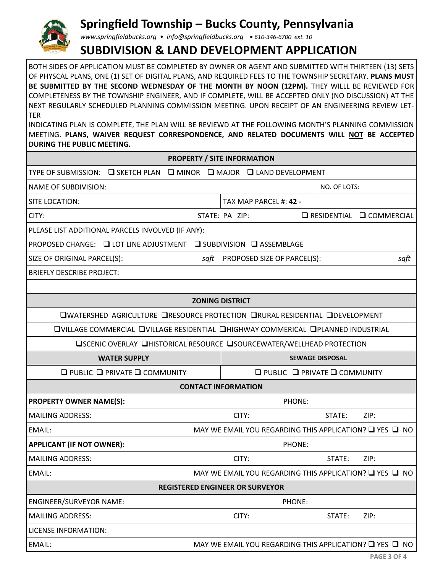

# **Springfield Township – Bucks County, Pennsylvania**

*www.springfieldbucks.org • info@springfieldbucks.org • <sup>610</sup>-346-6700 ext. 10* 

## **SUBDIVISION & LAND DEVELOPMENT APPLICATION**

BOTH SIDES OF APPLICATION MUST BE COMPLETED BY OWNER OR AGENT AND SUBMITTED WITH THIRTEEN (13) SETS OF PHYSCAL PLANS, ONE (1) SET OF DIGITAL PLANS, AND REQUIRED FEES TO THE TOWNSHIP SECRETARY. **PLANS MUST**  BE SUBMITTED BY THE SECOND WEDNESDAY OF THE MONTH BY **NOON** (12PM). THEY WILLL BE REVIEWED FOR COMPLETENESS BY THE TOWNSHIP ENGINEER, AND IF COMPLETE, WILL BE ACCEPTED ONLY (NO DISCUSSION) AT THE NEXT REGULARLY SCHEDULED PLANNING COMMISSION MEETING. UPON RECEIPT OF AN ENGINEERING REVIEW LET-TER

INDICATING PLAN IS COMPLETE, THE PLAN WILL BE REVIEWD AT THE FOLLOWING MONTH'S PLANNING COMMISSION MEETING. **PLANS, WAIVER REQUEST CORRESPONDENCE, AND RELATED DOCUMENTS WILL NOT BE ACCEPTED DURING THE PUBLIC MEETING.**

|                                                                      | <b>PROPERTY / SITE INFORMATION</b>                                                      |  |  |  |
|----------------------------------------------------------------------|-----------------------------------------------------------------------------------------|--|--|--|
| TYPE OF SUBMISSION: □ SKETCH PLAN □ MINOR □ MAJOR □ LAND DEVELOPMENT |                                                                                         |  |  |  |
| <b>NAME OF SUBDIVISION:</b>                                          | NO. OF LOTS:                                                                            |  |  |  |
| SITE LOCATION:                                                       | TAX MAP PARCEL #: 42 -                                                                  |  |  |  |
| CITY:                                                                | STATE: PA ZIP:<br>$\Box$ RESIDENTIAL $\Box$ COMMERCIAL                                  |  |  |  |
| PLEASE LIST ADDITIONAL PARCELS INVOLVED (IF ANY):                    |                                                                                         |  |  |  |
| PROPOSED CHANGE: □ LOT LINE ADJUSTMENT □ SUBDIVISION □ ASSEMBLAGE    |                                                                                         |  |  |  |
| SIZE OF ORIGINAL PARCEL(S):<br>sqft                                  | PROPOSED SIZE OF PARCEL(S):<br>sqft                                                     |  |  |  |
| <b>BRIEFLY DESCRIBE PROJECT:</b>                                     |                                                                                         |  |  |  |
|                                                                      |                                                                                         |  |  |  |
|                                                                      | <b>ZONING DISTRICT</b>                                                                  |  |  |  |
|                                                                      | <b>■WATERSHED AGRICULTURE ■RESOURCE PROTECTION ■RURAL RESIDENTIAL ■DEVELOPMENT</b>      |  |  |  |
|                                                                      | <b>QVILLAGE COMMERCIAL QVILLAGE RESIDENTIAL QHIGHWAY COMMERICAL QPLANNED INDUSTRIAL</b> |  |  |  |
|                                                                      | <b>□SCENIC OVERLAY □HISTORICAL RESOURCE □SOURCEWATER/WELLHEAD PROTECTION</b>            |  |  |  |
| <b>WATER SUPPLY</b>                                                  | <b>SEWAGE DISPOSAL</b>                                                                  |  |  |  |
| $\Box$ PUBLIC $\Box$ PRIVATE $\Box$ COMMUNITY                        | $\Box$ PUBLIC $\Box$ PRIVATE $\Box$ COMMUNITY                                           |  |  |  |
|                                                                      | <b>CONTACT INFORMATION</b>                                                              |  |  |  |
| <b>PROPERTY OWNER NAME(S):</b>                                       | PHONE:                                                                                  |  |  |  |
| <b>MAILING ADDRESS:</b>                                              | CITY:<br>STATE:<br>ZIP:                                                                 |  |  |  |
| EMAIL:                                                               | MAY WE EMAIL YOU REGARDING THIS APPLICATION? Q YES Q NO                                 |  |  |  |
| <b>APPLICANT (IF NOT OWNER):</b>                                     | PHONE:                                                                                  |  |  |  |
| <b>MAILING ADDRESS:</b>                                              | CITY:<br>ZIP:<br>STATE:                                                                 |  |  |  |
| EMAIL:                                                               | MAY WE EMAIL YOU REGARDING THIS APPLICATION? Q YES Q NO                                 |  |  |  |
| <b>REGISTERED ENGINEER OR SURVEYOR</b>                               |                                                                                         |  |  |  |
| <b>ENGINEER/SURVEYOR NAME:</b>                                       | PHONE:                                                                                  |  |  |  |
| <b>MAILING ADDRESS:</b>                                              | CITY:<br>STATE:<br>ZIP:                                                                 |  |  |  |
| <b>LICENSE INFORMATION:</b>                                          |                                                                                         |  |  |  |
|                                                                      |                                                                                         |  |  |  |
| EMAIL:                                                               | MAY WE EMAIL YOU REGARDING THIS APPLICATION? $\Box$ YES $\Box$ NO                       |  |  |  |